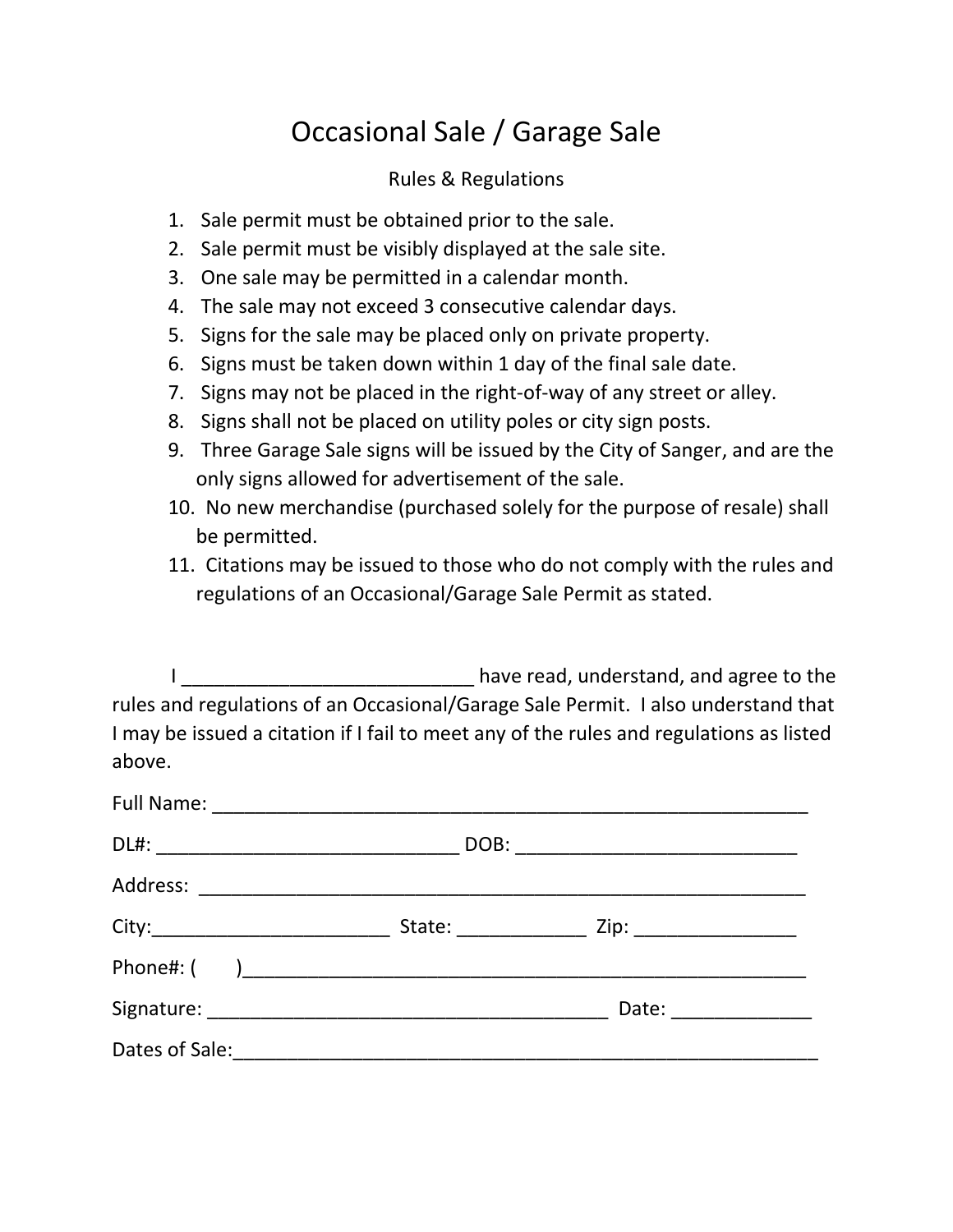# Occasional Sale / Garage Sale

# Rules & Regulations

- 1. Sale permit must be obtained prior to the sale.
- 2. Sale permit must be visibly displayed at the sale site.
- 3. One sale may be permitted in a calendar month.
- 4. The sale may not exceed 3 consecutive calendar days.
- 5. Signs for the sale may be placed only on private property.
- 6. Signs must be taken down within 1 day of the final sale date.
- 7. Signs may not be placed in the right-of-way of any street or alley.
- 8. Signs shall not be placed on utility poles or city sign posts.
- 9. Three Garage Sale signs will be issued by the City of Sanger, and are the only signs allowed for advertisement of the sale.
- 10. No new merchandise (purchased solely for the purpose of resale) shall be permitted.
- 11. Citations may be issued to those who do not comply with the rules and regulations of an Occasional/Garage Sale Permit as stated.

I discussed in the basic basic have read, understand, and agree to the rules and regulations of an Occasional/Garage Sale Permit. I also understand that I may be issued a citation if I fail to meet any of the rules and regulations as listed above.